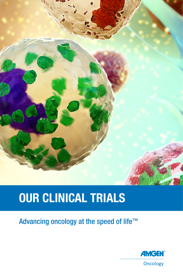

# **OUR CLINICAL TRIALS**

Advancing oncology at the speed of life™

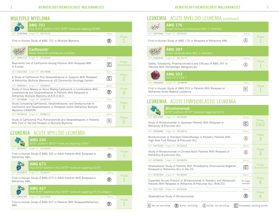#### **MILITIPLE MYFLOMA**

| <b>AMG 701</b><br>HLE BITE <sup>®</sup> platform (HLE BITE <sup>®</sup> molecule targeting BCMA)                                                                                 |        |                        |
|----------------------------------------------------------------------------------------------------------------------------------------------------------------------------------|--------|------------------------|
| Amgen ID*: 20170122<br>NCT: 03287908                                                                                                                                             | Status |                        |
| First-in-Human Study of AMG 701 in Multiple Myeloma                                                                                                                              |        | Phase                  |
| Carfilzomib†<br>Small molecule (proteasome inhibitor)                                                                                                                            |        |                        |
| Amgen ID*: 20150262<br>NCT: 03091127                                                                                                                                             | Status |                        |
| Real-world Use of Carfilzomib Among Patients With Relapsed MM<br>in Europe                                                                                                       | C      | Phase<br>Observational |
| NCT: 03512353 Amgen ID*: 20170596                                                                                                                                                | Status |                        |
| A Study of Carfilzomib Plus Dexamethasone in Subjects With Relapsed<br>or Refractory Multiple Myeloma at US Community Oncology Centers                                           | C      | Phase<br>2             |
| NCT: 03859427 Amgen ID*: 20180015                                                                                                                                                | Status |                        |
| Study of Once-Weekly vs Twice Weekly Carfilzomib in Combination With<br>Lenalidomide and Dexamethasone in Patients With Relapsed or<br>Refractory Multiple Myeloma (A.R.R.O.W.2) | R      | Phase                  |
| NCT: 03158688 Amgen ID*: 20160275                                                                                                                                                | Status |                        |
| Study Comparing Carfilzomib, Dexamethasone, and Daratumumab to<br>Carfilzomib and Dexamethasone in Relapsed and/or Refractory Multiple<br>Myeloma (CANDOR)                       |        | Phase<br>З             |
| NCT: 04191616 Amgen ID*: 20180117                                                                                                                                                | Status |                        |
| Study of Carfilzomib Plus Pomalidomide and Dexamethasone in Patients<br>With First or Second Relapse of Multiple Myeloma                                                         |        | Phase                  |
|                                                                                                                                                                                  |        |                        |

#### LEUKEMIA ACUTE MYELOID LEUKEMIA

|                | <b>AMG 330</b><br>$BITE^{\circ}$ platform (BiTE <sup>®</sup> molecule targeting CD33)                      |        |              |
|----------------|------------------------------------------------------------------------------------------------------------|--------|--------------|
| NCT: 02520427  | Amgen ID*: 20120252                                                                                        | Status |              |
| Refractory AML | First-in-Human Study of AMG 330 in Adult Patients With Relapsed or                                         |        | <b>Phase</b> |
|                | <b>AMG 673</b><br>HLE BITE <sup>®</sup> platform (HLE BITE <sup>®</sup> molecule targeting CD33)           |        |              |
| NCT: 03224819  | Amgen ID*: 20160377                                                                                        | Status |              |
| Refractory AML | First-in-Human Study of AMG 673 in Adult Patients With Relapsed or                                         |        | Phase        |
|                | <b>AMG 427</b><br>HLE BITE <sup>®</sup> platform (HLE BITE <sup>®</sup> molecule targeting [FLT3] antigen) |        |              |
| NCT: 03541369  | Amgen ID*: 20170528                                                                                        | Status |              |
| AML            | First-in-Human Study of AMG 427 in Patients With Relapsed/Refractory                                       |        | Phase        |

#### LEUKEMIA ACUTE MYELOID LEUKEMIA (continued)

|               | AUUTE IVITELUID LEUNEIVIIA (CONTINUEG)                                                                      |               |       |
|---------------|-------------------------------------------------------------------------------------------------------------|---------------|-------|
|               | <b>AMG 176</b><br>Small molecule (Intravenous MCL-1 inhibitor)                                              |               |       |
| NCT: 02675452 | Amgen ID*: 20150161                                                                                         | Status        |       |
|               | First-in-Human Study of AMG 176 in Relapsed or Refractory AML                                               |               | Phase |
|               | <b>AMG 397</b><br>Small molecule (Oral MCL-1 inhibitor)                                                     |               |       |
| NCT: 03465540 | Amgen ID*: 20170173                                                                                         | <b>Status</b> |       |
|               | Safety, Tolerability, Pharmacokinetics and Efficacy of AMG 397 in<br>Patients With Hematologic Malignancies |               | Phase |
|               | <b>AMG 553</b><br>Anti-FLT3 CAR T                                                                           |               |       |
| NCT: 03904069 | Amgen ID*: 20180091                                                                                         | Status        |       |
|               | First in Human Study of AMG 553 in Patients With Relapsed or<br>Refractory Acute Myeloid Leukemia           |               | Phase |

#### LEUKEMIA ACUTE LYMPHOBLASTIC LEUKEMIA

|               | <b>Blinatumomab</b><br>BITE <sup>®</sup> platform (BITE <sup>®</sup> molecule targeting CD19)                                         |                        |                            |
|---------------|---------------------------------------------------------------------------------------------------------------------------------------|------------------------|----------------------------|
|               | NCT: 02412306 Amgen ID*: 20130265                                                                                                     | <b>Status</b>          |                            |
|               | Study of Blinatumomab in Japanese Patients With Relapsed or<br>Refractory B-Precursor ALL                                             | $\mathbf{C}$           | Phase<br>1 <sub>b</sub> /2 |
|               | NCT: 02393859 Amgen ID*: 20120215                                                                                                     | <b>Status</b>          |                            |
|               | Blinatumomab vs Standard Chemotherapy in Pediatric Patients With<br>High Risk First Relapse B-Precursor ALL                           |                        | Phase<br>2                 |
|               | NCT: 03476239 Amgen ID*: 20130316                                                                                                     | Status                 |                            |
|               | Study of Blinatumomab in Chinese Adult Patients With Relapsed or<br>Refractory B-precursor ALL                                        |                        | Phase<br>2                 |
|               | NCT: 02783651 Amgen ID*: 20150253                                                                                                     | Status                 |                            |
|               | Observational Study of Patients With Philadelphia Chromosome-Negative<br>Relapsed or Refractory ALL in the US                         | C                      | Phase<br>Observational     |
|               | NCT: 02187354 Amgen ID*: 20130320                                                                                                     | <b>Status</b>          |                            |
|               | Expanded Access Protocol of Blinatumomab in Pediatric and Adolescent<br>Patients With Relapsed or Refractory B-Precursor ALL (RIALTO) | No longer<br>available | Phase                      |
| NCT: 03117621 | Amgen ID*: 20150136                                                                                                                   | Status                 |                            |
|               | Observational Study of Blinatumomab                                                                                                   |                        | Phase                      |
|               |                                                                                                                                       |                        |                            |

**N** *Not yet recruiting* **R** *Active, recruiting* **A** *Active, not recruiting* **C** *Completed, pending results*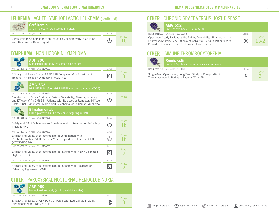



|--|

### **Carfi lzomib**†

| Small molecule<br>Small molecule (proteasome inhibitor) |        |
|---------------------------------------------------------|--------|
| NCT: 02303821 Amgen ID*: CFZ008                         | Status |

Carfilzomib in Combination With Induction Chemotherapy in Children  $\mathbb{R}$   $\mathbb{R}$   $\mathbb{I}$ With Relapsed or Refractory ALL

#### LYMPHOMA NON-HODGKIN LYMPHOMA

| <b>ABP 798</b> <sup>#</sup><br>Monoclonal antibody (rituximab biosimilar)                                                                                                                                                 |                |             |
|---------------------------------------------------------------------------------------------------------------------------------------------------------------------------------------------------------------------------|----------------|-------------|
| Amgen ID*: 20130109<br>NCT: 02747043                                                                                                                                                                                      | Status         |             |
| Efficacy and Safety Study of ABP 798 Compared With Rituximab in<br>Treating Non-Hodgkin Lymphoma (JASMINE)                                                                                                                | $ \mathbb{C} $ | Phase<br>В  |
| <b>AMG 562</b><br>HLE BITE® Platform (HLE BITE® molecule targeting CD19)                                                                                                                                                  |                |             |
| NCT: 03571828 Amgen ID*: 20170533                                                                                                                                                                                         | Status         |             |
| First-in-Human Study Evaluating Safety, Tolerability, Pharmacokinetics,<br>and Efficacy of AMG 562 in Patients With Relapsed or Refractory Diffuse<br>Large B-Cell Lymphoma, Mantle Cell Lymphoma, or Follicular Lymphoma |                | Phase       |
| <b>Blinatumomab</b><br>BITE <sup>®</sup> platform (BITE® molecule targeting CD19)                                                                                                                                         |                |             |
| NCT: 02961881<br>Amgen ID*: 20140286                                                                                                                                                                                      | Status         |             |
| Safety and PK of Subcutaneous Blinatumomab in Relapsed or Refractory<br>Indolent NHI                                                                                                                                      | (R)            | Phase<br>1b |
| NCT: 03340766 Amgen ID*: 20150290                                                                                                                                                                                         | Status         |             |
| Efficacy and Safety of Blinatumomab in Combination With<br>Pembrolizumab in Adult Patients With Relapsed or Refractory DLBCL<br>(KEYNOTE-348)                                                                             |                | Phase<br>1h |
| NCT: 03023878 Amgen ID*: 20150288                                                                                                                                                                                         | Status         |             |
| Efficacy and Safety of Blinatumomab in Patients With Newly Diagnosed<br>High-Risk DLBCL                                                                                                                                   | C              | Phase<br>2  |
| NCT: 02910063 Amgen ID*: 20150292                                                                                                                                                                                         | Status         |             |
| Efficacy and Safety of Blinatumomab in Patients With Relapsed or<br>Refractory Aggressive B-Cell NHL                                                                                                                      |                | Phase       |

#### OTHER PAROXYSMAL NOCTURNAL HEMOGLOBINURIA

**ABP 959**‡  $\bullet$ NCT: 03818607 Amgen ID\*: 20150168 Status

Efficacy and Safety of ABP 959 Compared With Eculizumab in Adult  $\mathbb{R}$   $\overline{3}$ Participants With PNH (DAHLIA)

Phase

Phase

**R**

**R**

#### **OTHER** CHRONIC GRAFT VERSUS HOST DISEASE



**AMG 592**  NCT: 03422627 Amgen ID\*: 20160283 Status Phase 1b/2 Open-label Study Evaluating the Safety, Tolerability, Pharmacokinetics, Pharmacodynamics, and Efficacy of AMG 592 in Adult Patients With Steroid Refractory Chronic Graft Versus Host Disease **R**

#### OTHER IMMUNE THROMBOCYTOPENIA

|                                                                                                           | Romiplostim<br>Protein/Peptibody (thrombopoiesis stimulator) |        |       |
|-----------------------------------------------------------------------------------------------------------|--------------------------------------------------------------|--------|-------|
|                                                                                                           | NCT: 02279173 Amgen ID*: 20101221                            | Status |       |
| Single-Arm, Open-Label, Long-Term Study of Romiplostim in<br>Thrombocytopenic Pediatric Patients With ITP |                                                              | C      | Phase |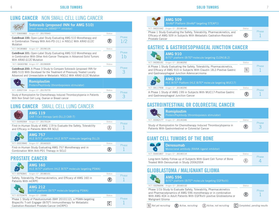#### LUNG CANCER NON SMALL CELL LUNG CANCER

|                         | Sotorasib (proposed INN for AMG 510)<br>Small molecule (KRAS <sup>G12C</sup> inhibitor)                                                                                                                                          |               |                    |
|-------------------------|----------------------------------------------------------------------------------------------------------------------------------------------------------------------------------------------------------------------------------|---------------|--------------------|
|                         | NCT: 03600883 Amgen ID*: 20170543                                                                                                                                                                                                | Status        |                    |
| Mutation                | <b>CodeBreak 100:</b> Open-Label Study Evaluating AMG 510 Monotherapy and<br>in Combination Therapy With Anti-PD-1/L1 in NSCLC With KRAS G12C                                                                                    | R             | Phase<br>1/2       |
|                         | NCT: 04185883 Amgen ID*: 20190135                                                                                                                                                                                                | Status        |                    |
| With KRAS G12C Mutation | <b>CodeBreak 101:</b> Open-Label Study Evaluating AMG 510 Monotherapy and<br>in Combination With Other Anti-Cancer Therapies in Advanced Solid Tumors                                                                            | $\bf R$       | <b>Phase</b><br>1b |
|                         | NCT: 04303780 Amgen ID*: 20190009                                                                                                                                                                                                | Status        |                    |
|                         | <b>CodeBreak 200:</b> A Phase 3 Study to Compare Sotorasib (proposed INN for<br>AMG 510) With Docetaxel for the Treatment of Previously Treated Locally<br>Advanced and Unresectable or Metastatic NSCLC With KRAS G12C Mutation |               | Phase              |
|                         | <b>Romiplostim</b><br>Protein/Peptibody (thrombopoiesis stimulator)                                                                                                                                                              |               |                    |
| NCT: 03937154           | Amgen ID*: 20170770                                                                                                                                                                                                              | <b>Status</b> | Phase              |
|                         | Study of Romiplostim for Chemotherapy Induced Thrombocytopenia in Patients<br>With Non Small Cell Lung, Ovarian or Breast cancer                                                                                                 |               |                    |

#### LUNG CANCER SMALL CELL LUNG CANCER

|               | <b>AMG 119</b><br>CAR T-Cell therapy (anti-DLL3 CAR-T)                                                        |               |       |
|---------------|---------------------------------------------------------------------------------------------------------------|---------------|-------|
|               | NCT: 03392064 Amgen ID*: 20170124                                                                             | <b>Status</b> | Phase |
|               | First-in-Human Study of AMG 119 to Evaluate the Safety, Tolerability<br>and Efficacy in Patients With RR SCLC |               |       |
|               | <b>AMG 757</b><br>HLE BITE <sup>®</sup> platform (HLE BITE <sup>®</sup> molecule targeting DLL3)              |               |       |
| NCT: 03319940 | Amgen ID*: 20160323                                                                                           | <b>Status</b> | Phase |
|               | First-in-Human Study Evaluating AMG 757 Monotherapy and in<br>Combination With Anti-PD1 Therapy in SCLC       |               |       |

#### PROSTATE CANCER



|--|

AMG 509 XmAb® Platform (XmAb® targeting STEAP1)

NCT: 04221542 Amgen ID\*: 20180146 Status Phase 1 Study Evaluating the Safety, Tolerability, Pharmacokinetics, and Efficacy of AMG 509 in Subjects With Metastatic Castration-Resistant Prostate Cancer

#### GASTRIC & GASTROESOPHAGEAL JUNCTION CANCER

AMG 910  $B$ iTE® platform (BiTE® molecule targeting CLDN18.2)

NCT: 04260191 Amgen ID\*: 20180292 Status

A Phase 1 Study Evaluating the Safety, Tolerability, Pharmacokinetics, and Efficacy of AMG 910 in Subjects With Claudin 18.2-Positive Gastric and Gastroesophageal Junction Adenocarcinoma

AMG 199 HLE BiTE® Platform (HLE BiTE® molecule targeting MUC17) NCT: 04117958 Amgen ID\*: 20180290 Status Control of May 10:00:00 Status Status Status

1 A Phase 1 Study of AMG 199 in Subjects With MUC17-Positive Gastric and Gastroesophageal Junction Cancer

#### GASTROINTESTINAL OR COLORECTAL CANCER

**R** Romiplostim Protein/Peptibody (thrombopoiesis stimulator) NCT: 03362177 Amgen ID\*: 20140346 Status Status Status Status Status Status Status Status Status Status Status Phase Study of Romiplostim for Chemotherapy Induced Thrombocytopenia in <br> **R** and Caption in the Contraction of Colorectal Capcor Patients With Gastrointestinal or Colorectal Cancer

#### GIANT CELL TUMORS OF THE BONE

53 AV **Denosumab** Monoclonal antibody (RANK-ligand inhibitor)  $\left| \cdot \right\rangle$ NCT: 03301857 Amgen ID\*: 20140114 Status Phase Long-term Safety Follow-up of Subjects With Giant Cell Tumor of Bone (A) 4 **A** Treated With Denosumab in Study 20062004

#### GLIOBLASTOMA / MALIGNANT GLIOMA



AMG 596

BiTE® platform (BiTE® molecule targeting EGFRvIII)

NCT: 03296696 Amgen ID\*: 20160132 Status

Phase 1/1b Study to Evaluate Safety, Tolerability, Pharmacokinetics and Pharmacodynamics of AMG 596 monotherapy or in combination With AMG 404 in Adult Patients With EGFRvIII positive Glioblastoma or Malignant Glioma

 $\overline{\mathbf{N}}$ 

**R**

**R**

Phase 1

Phase 1

Phase

Phase 1

**R**

**N** *Not yet recruiting* **C** *R Active, recruiting* (A) *Active, not recruiting* **C** *Completed, pending results* **R** *Active, recruiting* **A** *Active, not recruiting*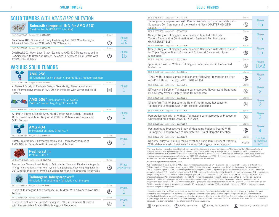#### SOLID TUMORS WITH KRAS G12C MUTATION

|                                                                                                                                                                                         | Sotorasib (proposed INN for AMG 510)<br>Small molecule (KRASG12C inhibitor) |        |                |
|-----------------------------------------------------------------------------------------------------------------------------------------------------------------------------------------|-----------------------------------------------------------------------------|--------|----------------|
| Amgen ID*: 20170543<br>NCT: 03600883                                                                                                                                                    |                                                                             | Status |                |
| <b>CodeBreak 100:</b> Open-Label Study Evaluating AMG 510 Monotherapy in<br>Advanced Solid Tumors With KRAS G12C Mutation                                                               |                                                                             | (R)    | Phase<br>1 / 2 |
| NCT: 04185883 Amgen ID*: 20190135                                                                                                                                                       |                                                                             | Status |                |
| <b>CodeBreak 101:</b> Open-Label Study Evaluating AMG 510 Monotherapy and in<br>Combination With Other Anti-Cancer Therapies in Advanced Solid Tumors With<br><b>KRAS G12C Mutation</b> |                                                                             | Phase  |                |

#### VARIOUS SOLID TUMORS

|                                                                                                                                                                                                                                              | <b>AMG 256</b><br>Bi-functional fusion protein (Targeted IL-21 receptor agonist)                                  |                |                               |
|----------------------------------------------------------------------------------------------------------------------------------------------------------------------------------------------------------------------------------------------|-------------------------------------------------------------------------------------------------------------------|----------------|-------------------------------|
|                                                                                                                                                                                                                                              | NCT: 04362748 Amgen ID*: 20180144                                                                                 | Status         |                               |
| A Phase 1 Study to Evaluate Safety, Tolerability, Pharmacokinetics<br>and Pharmacodynamics of AMG 256 in Patients With Advanced Solid<br>Tumors                                                                                              |                                                                                                                   |                | Phase                         |
|                                                                                                                                                                                                                                              | AMG $506$ <sup>#</sup> (also known as MP0310)<br>DARPin <sup>®</sup> protein targeting FAP x 4-1BB                |                |                               |
|                                                                                                                                                                                                                                              | NCT: 04049903 Study ID*: MP0310-CP101                                                                             | Status         |                               |
| A First-In-Human, Single-Arm, Multi-Center, Open-Label, Repeated-<br>Dose, Dose-Escalation Study of MP0310 in Patients With Advanced<br>Solid Tumors                                                                                         |                                                                                                                   | $\mathbf R$    | Phase                         |
|                                                                                                                                                                                                                                              | <b>AMG 404</b><br>Monoclonal antibody (Anti-PD1)                                                                  |                |                               |
| NCT: 03853109                                                                                                                                                                                                                                | Amgen ID*: 20180143                                                                                               | Status         |                               |
|                                                                                                                                                                                                                                              | Safety, Tolerability, Pharmacokinetics and Pharmacodynamics of<br>AMG 404, in Patients With Advanced Solid Tumors | $^{\circledR}$ | Phase                         |
|                                                                                                                                                                                                                                              | Pegfilgrastim<br>Protein (G-CSF)                                                                                  |                |                               |
|                                                                                                                                                                                                                                              | EU PAS**: 24626 Amgen ID <sup>‡</sup> : 20170758                                                                  | Status         |                               |
| Prospective Observational Study to Estimate Incidence of Febrile Neutropenia<br>in High Risk Patients With Non-myeloid Malignancies Receiving Pegfilgrastim<br>OBI (Onbody Injector) or Physician Choice for Febrile Neutropenia Prophylaxis |                                                                                                                   | (R)            | Phase<br><b>Observational</b> |
|                                                                                                                                                                                                                                              | Talimogene laherparepvec <sup>††</sup><br>Oncolytic immunotherapy (oncolytic viral therapy)                       |                |                               |
| NCT: 02756845                                                                                                                                                                                                                                | Amgen ID*: 20110261                                                                                               | Status         | Phase                         |
| Tumors                                                                                                                                                                                                                                       | Study of Talimogene Laherparepvec in Children With Advanced Non-CNS                                               | $^\circledR$   |                               |
|                                                                                                                                                                                                                                              | NCT: 03064763 Amgen ID*: 20140270                                                                                 | Status         | Phase                         |
| Study to Evaluate the Safety/Efficacy of T-VEC in Japanese Subjects<br>With Unresectable Stage IIIB-IV Malignant Melanoma                                                                                                                    |                                                                                                                   |                |                               |

#### SOLID TUMOR SOLID TUMORS SOLID TUMORS

| NCT: 02626000 Amgen ID*: 20130232                                        | <b>Status</b>          |                   |
|--------------------------------------------------------------------------|------------------------|-------------------|
| Talimogene Laherparepvec With Pembrolizumab for Recurrent Metastatic     |                        | Phase             |
| Squamous Cell Carcinoma of the Head and Neck (MASTERKEY-232/             | $\bigwedge$            | 1b                |
| KEYNOTE-137)                                                             |                        |                   |
| NCT: 02509507 Amgen ID*: 20140318                                        | Status                 |                   |
| Safety Study of Talimogene Laherparepvec Injected Into Liver             |                        | Phase             |
| Tumors Alone and in Combination With Systemic Pembrolizumab              | $^{\circledR}$         | 1b                |
| (MASTERKEY-318)                                                          |                        |                   |
| NCT: 03256344 Amgen ID*: 20140299                                        | Status                 |                   |
| Safety Study of Talimogene Laherparepvec Combined With Atezolizumab      |                        | Phase             |
| for Triple Negative Breast Cancer and Colorectal Cancer With Liver       | $^{\circledR}$         | 1 <sub>b</sub>    |
| Metastases                                                               |                        |                   |
| NCT: 01740297<br>Amgen ID*: 20110264                                     | Status                 |                   |
| Ipilimumab With or Without Talimogene Laherparepvec in Unresected        |                        | Phase             |
| Melanoma                                                                 | $\bigwedge$            | 1 <sub>b</sub> /2 |
|                                                                          |                        |                   |
| NCT: 04068181 Amgen ID*: 20180115                                        | <b>Status</b>          | Phase             |
| T-VEC With Pembrolizumab in Melanoma Following Progression on Prior      |                        |                   |
| Anti-PD-1 Based Therapy (MASTERKEY-115)                                  | $^{\circledR}$         | 2                 |
| NCT: 02211131 Amgen ID*: 20110266                                        | <b>Status</b>          |                   |
|                                                                          |                        | Phase             |
| Efficacy and Safety of Talimogene Laherparepvec Neoadjuvant Treatment    | $\mathcal{\mathbb{A}}$ | 2                 |
| Plus Surgery Versus Surgery Alone for Melanoma                           |                        |                   |
| NCT: 02366195 Amgen ID*: 20120325                                        | Status                 |                   |
| Single-Arm Trial to Evaluate the Role of the Immune Response to          |                        | <b>Phase</b>      |
| Talimogene Laherparepvec in Unresected Melanoma                          | $\Lambda$              | 2                 |
| NCT: 02263508 Amgen ID*: 20110265                                        |                        |                   |
|                                                                          | Status                 | Phase             |
| Pembrolizumab With or Without Talimogene Laherparepvec or Placebo in     | $\mathbf A$            |                   |
| Unresected Melanoma (MASTERKEY-265)                                      |                        | 3                 |
| NCT: 02910557 Amgen ID*: 20130193                                        | Status                 |                   |
|                                                                          |                        | <b>Phase</b>      |
| Postmarketing Prospective Study of Melanoma Patients Treated With        | $^{\circledR}$         | 4                 |
| Talimogene Laherparepvec to Characterize Risk of Herpetic Infection      |                        |                   |
| NCT: 02173171 Amgen ID*: 20120139                                        | <b>Status</b>          | <b>Enrolling</b>  |
| Registry Study to Evaluate the Survival and Long-Term Safety of Patients |                        | by invitation     |
| With Melanoma Who Previously Received Talimogene Laherparepvec           | Registry               | only              |

\*For more detailed information about the trial, visit www.clinicaltrials.gov or www.amgentrials.com. † Sponsored by Onyx Pharmaceuticals, an Amgen subsidiary. ‡ The regulatory approval pathway for biosimilars requires study of a single indication and permits extrapolation to other reference indications with scientific justification. <sup>††</sup>Previously referred to as OncoVEX<sup>GM-CSF</sup>. \*\*For detailed information on this study please visit http://www.encepp.eu/encepp/studiesDatabase.jsp. #AMG 506 (also known as MP0310) is being developed in collaboration with Molecular Partners AG. DARPin® is a registered trademark owned by Molecular Partners AG.

XmAb® is a registered trademark of Xencor.

ALL – acute lymphoblastic leukemia; AML – acute myelogenous leukemia; BiTE® – bispecific T cell engager; CD – cluster of differentiation; CLDN – claudin-1; CNS – central nervous system; DARPin® – designed ankyrin repeat proteins; DLBCL – diffuse large B-cell lymphoma; DLL3 – delta-like ligand 3; EGFR – epidermal growth factor receptor; EGFRvIII – epidermal growth factor receptor variant III; FAP – fibroblast activation protein; FLT-3 – fms-like tyrosine kinase 3; G-CSF – granulocyte colony-stimulating factor; HLE – half-life extended; INN – International Nonproprietary Name; ITP – immune thrombocytopenic purpura; IL-21 – interleukin-21, IV – intravenous; KRAS – kirsten rat sarcoma 2 viral oncogene homolog; mAb – monoclonal antibody; mCRPC – metastatic castration-resistant prostate cancer; MCL-1 – myeloid cell leukemia sequence 1; MM – multiple myeloma; MUC – mucin; NHL – non-hodgkin lymphoma; PD-1 – programmed cell death protein-1; PD L1 – programmed death-ligand 1; PK – pharmacokinetics; PNH – paroxysmal nocturnal hemoglobinuria; PSMA – prostate-specific membrane antigen; RANK – receptor activator of nuclear factor kappa B; RR – relapsed or refractory. SCLC – small cell lung cancer; STEAP – six-transmembrane epithelial antigen of the prostate.

Information as of July 10, 2020. Statements are based on the company's current beliefs and Amgen disclaims any duty to update. For more information about Amgen and its business, including risks and uncertainties, please refer to Amgen's filings with the SEC. Products under investigational study have not been approved by regulatory agencies for the use under investigation. This information is provided only for purposes of providing general information on clinical trials and stages of development on the select candidates identified. This information should not be construed as a recommendation for use of any product for unapproved uses.

**N** *Not yet recruiting* **R** *Active, recruiting* **A** *Active, not recruiting* **C** *Completed, pending results*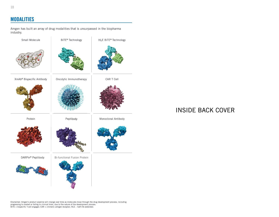#### MODALITIES

Amgen has built an array of drug modalities that is unsurpassed in the biopharma industry.



### INSIDE BACK COVER

Disclaimer: Amgen's product pipeline will change over time as molecules move through the drug development process, including<br>progressing to market or failing in clinical trials, due to the nature of the development process